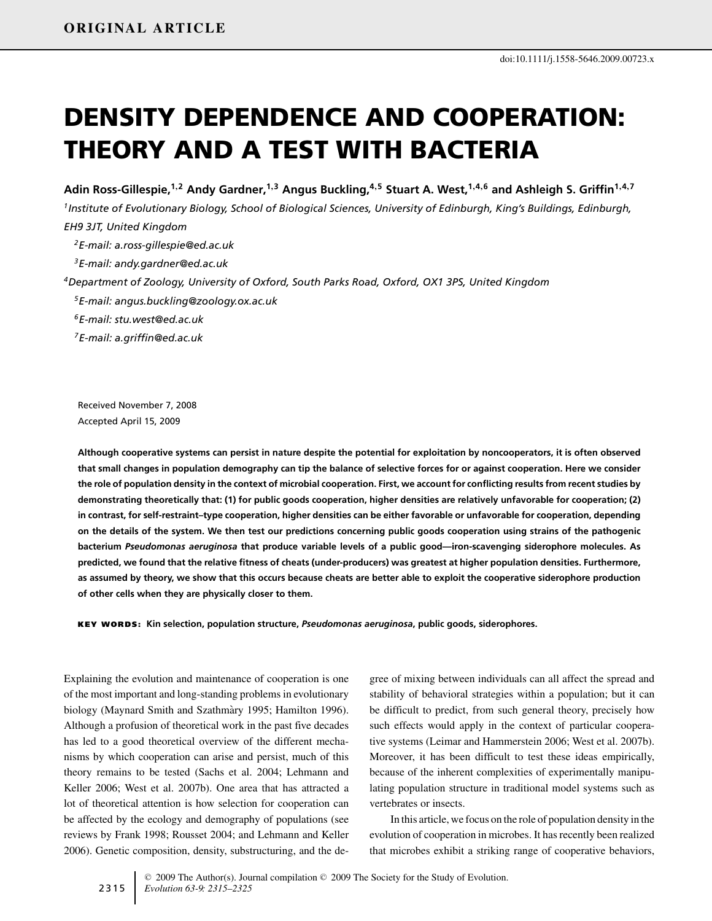# DENSITY DEPENDENCE AND COOPERATION: THEORY AND A TEST WITH BACTERIA

Adin Ross-Gillespie,<sup>1,2</sup> Andy Gardner,<sup>1,3</sup> Angus Buckling,<sup>4,5</sup> Stuart A. West,<sup>1,4,6</sup> and Ashleigh S. Griffin<sup>1,4,7</sup> *1Institute of Evolutionary Biology, School of Biological Sciences, University of Edinburgh, King's Buildings, Edinburgh, EH9 3JT, United Kingdom*

*2E-mail: a.ross-gillespie@ed.ac.uk*

*3E-mail: andy.gardner@ed.ac.uk*

*4Department of Zoology, University of Oxford, South Parks Road, Oxford, OX1 3PS, United Kingdom*

*5E-mail: angus.buckling@zoology.ox.ac.uk*

*6E-mail: stu.west@ed.ac.uk*

*7E-mail: a.griffin@ed.ac.uk*

Received November 7, 2008 Accepted April 15, 2009

**Although cooperative systems can persist in nature despite the potential for exploitation by noncooperators, it is often observed that small changes in population demography can tip the balance of selective forces for or against cooperation. Here we consider the role of population density in the context of microbial cooperation. First, we account for conflicting results from recent studies by demonstrating theoretically that: (1) for public goods cooperation, higher densities are relatively unfavorable for cooperation; (2) in contrast, for self-restraint–type cooperation, higher densities can be either favorable or unfavorable for cooperation, depending on the details of the system. We then test our predictions concerning public goods cooperation using strains of the pathogenic bacterium** *Pseudomonas aeruginosa* **that produce variable levels of a public good—iron-scavenging siderophore molecules. As predicted, we found that the relative fitness of cheats (under-producers) was greatest at higher population densities. Furthermore, as assumed by theory, we show that this occurs because cheats are better able to exploit the cooperative siderophore production of other cells when they are physically closer to them.**

KEY WORDS: **Kin selection, population structure,** *Pseudomonas aeruginosa***, public goods, siderophores.**

Explaining the evolution and maintenance of cooperation is one of the most important and long-standing problems in evolutionary biology (Maynard Smith and Szathmàry 1995; Hamilton 1996). Although a profusion of theoretical work in the past five decades has led to a good theoretical overview of the different mechanisms by which cooperation can arise and persist, much of this theory remains to be tested (Sachs et al. 2004; Lehmann and Keller 2006; West et al. 2007b). One area that has attracted a lot of theoretical attention is how selection for cooperation can be affected by the ecology and demography of populations (see reviews by Frank 1998; Rousset 2004; and Lehmann and Keller 2006). Genetic composition, density, substructuring, and the de-

gree of mixing between individuals can all affect the spread and stability of behavioral strategies within a population; but it can be difficult to predict, from such general theory, precisely how such effects would apply in the context of particular cooperative systems (Leimar and Hammerstein 2006; West et al. 2007b). Moreover, it has been difficult to test these ideas empirically, because of the inherent complexities of experimentally manipulating population structure in traditional model systems such as vertebrates or insects.

In this article, we focus on the role of population density in the evolution of cooperation in microbes. It has recently been realized that microbes exhibit a striking range of cooperative behaviors,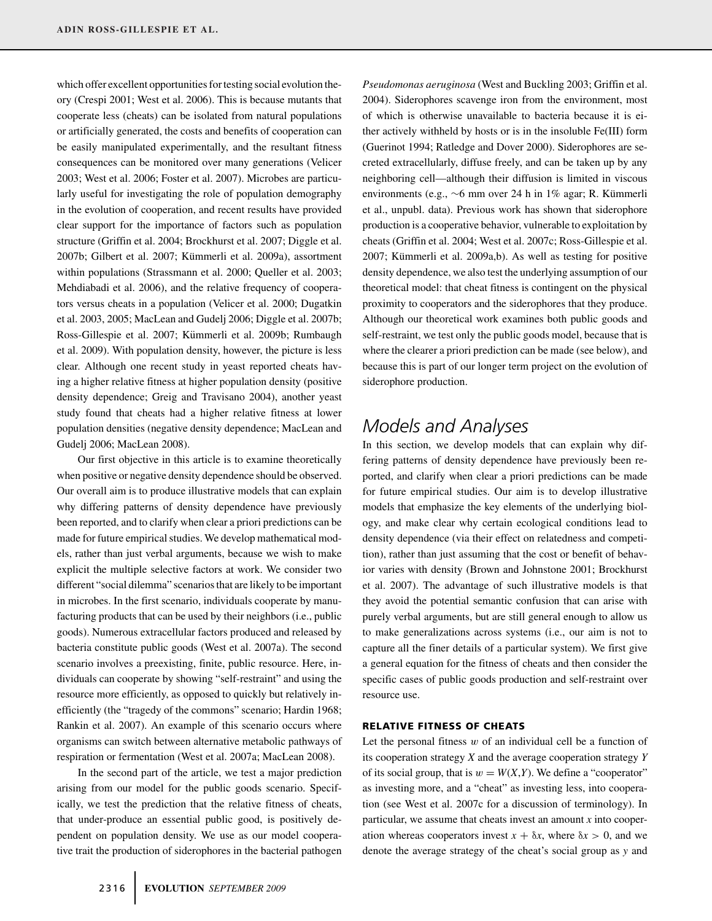which offer excellent opportunities for testing social evolution theory (Crespi 2001; West et al. 2006). This is because mutants that cooperate less (cheats) can be isolated from natural populations or artificially generated, the costs and benefits of cooperation can be easily manipulated experimentally, and the resultant fitness consequences can be monitored over many generations (Velicer 2003; West et al. 2006; Foster et al. 2007). Microbes are particularly useful for investigating the role of population demography in the evolution of cooperation, and recent results have provided clear support for the importance of factors such as population structure (Griffin et al. 2004; Brockhurst et al. 2007; Diggle et al. 2007b; Gilbert et al. 2007; Kümmerli et al. 2009a), assortment within populations (Strassmann et al. 2000; Queller et al. 2003; Mehdiabadi et al. 2006), and the relative frequency of cooperators versus cheats in a population (Velicer et al. 2000; Dugatkin et al. 2003, 2005; MacLean and Gudelj 2006; Diggle et al. 2007b; Ross-Gillespie et al. 2007; Kümmerli et al. 2009b; Rumbaugh et al. 2009). With population density, however, the picture is less clear. Although one recent study in yeast reported cheats having a higher relative fitness at higher population density (positive density dependence; Greig and Travisano 2004), another yeast study found that cheats had a higher relative fitness at lower population densities (negative density dependence; MacLean and Gudelj 2006; MacLean 2008).

Our first objective in this article is to examine theoretically when positive or negative density dependence should be observed. Our overall aim is to produce illustrative models that can explain why differing patterns of density dependence have previously been reported, and to clarify when clear a priori predictions can be made for future empirical studies. We develop mathematical models, rather than just verbal arguments, because we wish to make explicit the multiple selective factors at work. We consider two different "social dilemma" scenarios that are likely to be important in microbes. In the first scenario, individuals cooperate by manufacturing products that can be used by their neighbors (i.e., public goods). Numerous extracellular factors produced and released by bacteria constitute public goods (West et al. 2007a). The second scenario involves a preexisting, finite, public resource. Here, individuals can cooperate by showing "self-restraint" and using the resource more efficiently, as opposed to quickly but relatively inefficiently (the "tragedy of the commons" scenario; Hardin 1968; Rankin et al. 2007). An example of this scenario occurs where organisms can switch between alternative metabolic pathways of respiration or fermentation (West et al. 2007a; MacLean 2008).

In the second part of the article, we test a major prediction arising from our model for the public goods scenario. Specifically, we test the prediction that the relative fitness of cheats, that under-produce an essential public good, is positively dependent on population density. We use as our model cooperative trait the production of siderophores in the bacterial pathogen *Pseudomonas aeruginosa* (West and Buckling 2003; Griffin et al. 2004). Siderophores scavenge iron from the environment, most of which is otherwise unavailable to bacteria because it is either actively withheld by hosts or is in the insoluble Fe(III) form (Guerinot 1994; Ratledge and Dover 2000). Siderophores are secreted extracellularly, diffuse freely, and can be taken up by any neighboring cell—although their diffusion is limited in viscous environments (e.g.,  $\sim$ 6 mm over 24 h in 1% agar; R. Kümmerli et al., unpubl. data). Previous work has shown that siderophore production is a cooperative behavior, vulnerable to exploitation by cheats (Griffin et al. 2004; West et al. 2007c; Ross-Gillespie et al.  $2007$ ; Kümmerli et al.  $2009a$ , b). As well as testing for positive density dependence, we also test the underlying assumption of our theoretical model: that cheat fitness is contingent on the physical proximity to cooperators and the siderophores that they produce. Although our theoretical work examines both public goods and self-restraint, we test only the public goods model, because that is where the clearer a priori prediction can be made (see below), and because this is part of our longer term project on the evolution of siderophore production.

# *Models and Analyses*

In this section, we develop models that can explain why differing patterns of density dependence have previously been reported, and clarify when clear a priori predictions can be made for future empirical studies. Our aim is to develop illustrative models that emphasize the key elements of the underlying biology, and make clear why certain ecological conditions lead to density dependence (via their effect on relatedness and competition), rather than just assuming that the cost or benefit of behavior varies with density (Brown and Johnstone 2001; Brockhurst et al. 2007). The advantage of such illustrative models is that they avoid the potential semantic confusion that can arise with purely verbal arguments, but are still general enough to allow us to make generalizations across systems (i.e., our aim is not to capture all the finer details of a particular system). We first give a general equation for the fitness of cheats and then consider the specific cases of public goods production and self-restraint over resource use.

### RELATIVE FITNESS OF CHEATS

Let the personal fitness  $w$  of an individual cell be a function of its cooperation strategy *X* and the average cooperation strategy *Y* of its social group, that is  $w = W(X,Y)$ . We define a "cooperator" as investing more, and a "cheat" as investing less, into cooperation (see West et al. 2007c for a discussion of terminology). In particular, we assume that cheats invest an amount *x* into cooperation whereas cooperators invest  $x + \delta x$ , where  $\delta x > 0$ , and we denote the average strategy of the cheat's social group as *y* and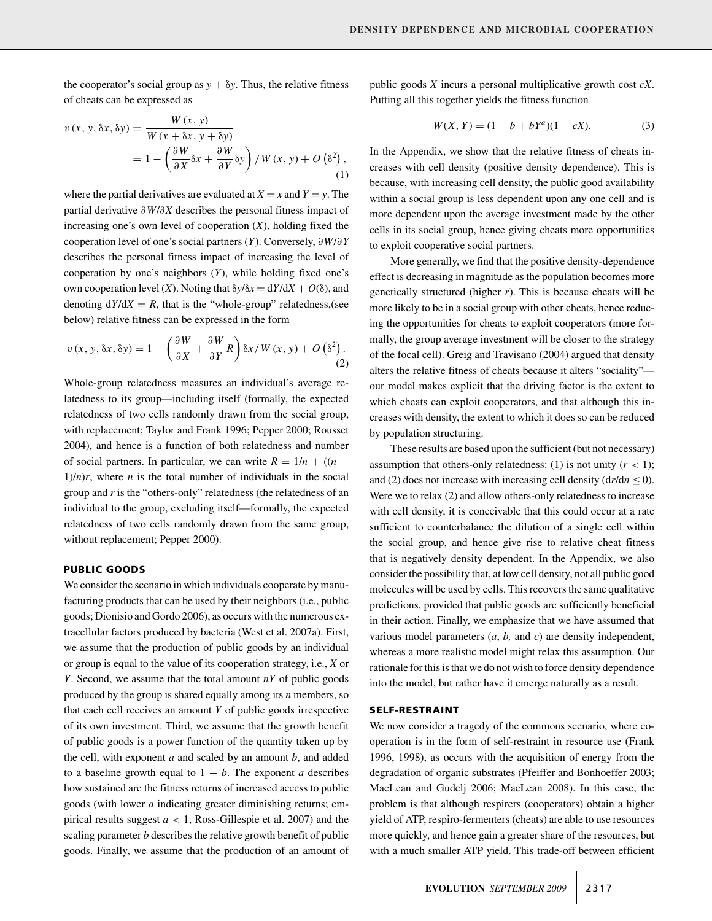the cooperator's social group as  $y + \delta y$ . Thus, the relative fitness of cheats can be expressed as

$$
v(x, y, \delta x, \delta y) = \frac{W(x, y)}{W(x + \delta x, y + \delta y)}
$$
  
=  $1 - \left(\frac{\partial W}{\partial x} \delta x + \frac{\partial W}{\partial y} \delta y\right) / W(x, y) + O(\delta^2),$  (1)

where the partial derivatives are evaluated at  $X = x$  and  $Y = y$ . The partial derivative ∂*W*/∂*X* describes the personal fitness impact of increasing one's own level of cooperation (*X*), holding fixed the cooperation level of one's social partners (*Y*). Conversely, ∂*W*/∂*Y* describes the personal fitness impact of increasing the level of cooperation by one's neighbors (*Y*), while holding fixed one's own cooperation level (*X*). Noting that δ*y*/δ*x* = d*Y*/d*X* + *O*(δ), and denoting  $dY/dX = R$ , that is the "whole-group" relatedness, (see below) relative fitness can be expressed in the form

$$
v(x, y, \delta x, \delta y) = 1 - \left(\frac{\partial W}{\partial X} + \frac{\partial W}{\partial Y}R\right) \delta x / W(x, y) + O\left(\delta^2\right). \tag{2}
$$

Whole-group relatedness measures an individual's average relatedness to its group—including itself (formally, the expected relatedness of two cells randomly drawn from the social group, with replacement; Taylor and Frank 1996; Pepper 2000; Rousset 2004), and hence is a function of both relatedness and number of social partners. In particular, we can write  $R = 1/n + ((n 1/h$ )*r*, where *n* is the total number of individuals in the social group and *r* is the "others-only" relatedness (the relatedness of an individual to the group, excluding itself—formally, the expected relatedness of two cells randomly drawn from the same group, without replacement; Pepper 2000).

### PUBLIC GOODS

We consider the scenario in which individuals cooperate by manufacturing products that can be used by their neighbors (i.e., public goods; Dionisio and Gordo 2006), as occurs with the numerous extracellular factors produced by bacteria (West et al. 2007a). First, we assume that the production of public goods by an individual or group is equal to the value of its cooperation strategy, i.e., *X* or *Y*. Second, we assume that the total amount *nY* of public goods produced by the group is shared equally among its *n* members, so that each cell receives an amount *Y* of public goods irrespective of its own investment. Third, we assume that the growth benefit of public goods is a power function of the quantity taken up by the cell, with exponent *a* and scaled by an amount *b*, and added to a baseline growth equal to  $1 - b$ . The exponent *a* describes how sustained are the fitness returns of increased access to public goods (with lower *a* indicating greater diminishing returns; empirical results suggest  $a < 1$ , Ross-Gillespie et al. 2007) and the scaling parameter *b* describes the relative growth benefit of public goods. Finally, we assume that the production of an amount of public goods *X* incurs a personal multiplicative growth cost *cX*. Putting all this together yields the fitness function

$$
W(X, Y) = (1 - b + bY^{a})(1 - cX). \tag{3}
$$

In the Appendix, we show that the relative fitness of cheats increases with cell density (positive density dependence). This is because, with increasing cell density, the public good availability within a social group is less dependent upon any one cell and is more dependent upon the average investment made by the other cells in its social group, hence giving cheats more opportunities to exploit cooperative social partners.

More generally, we find that the positive density-dependence effect is decreasing in magnitude as the population becomes more genetically structured (higher *r*). This is because cheats will be more likely to be in a social group with other cheats, hence reducing the opportunities for cheats to exploit cooperators (more formally, the group average investment will be closer to the strategy of the focal cell). Greig and Travisano (2004) argued that density alters the relative fitness of cheats because it alters "sociality" our model makes explicit that the driving factor is the extent to which cheats can exploit cooperators, and that although this increases with density, the extent to which it does so can be reduced by population structuring.

These results are based upon the sufficient (but not necessary) assumption that others-only relatedness: (1) is not unity  $(r < 1)$ ; and (2) does not increase with increasing cell density  $\left(\frac{dr}{dn} \leq 0\right)$ . Were we to relax (2) and allow others-only relatedness to increase with cell density, it is conceivable that this could occur at a rate sufficient to counterbalance the dilution of a single cell within the social group, and hence give rise to relative cheat fitness that is negatively density dependent. In the Appendix, we also consider the possibility that, at low cell density, not all public good molecules will be used by cells. This recovers the same qualitative predictions, provided that public goods are sufficiently beneficial in their action. Finally, we emphasize that we have assumed that various model parameters (*a*, *b,* and *c*) are density independent, whereas a more realistic model might relax this assumption. Our rationale for this is that we do not wish to force density dependence into the model, but rather have it emerge naturally as a result.

### SELF-RESTRAINT

We now consider a tragedy of the commons scenario, where cooperation is in the form of self-restraint in resource use (Frank 1996, 1998), as occurs with the acquisition of energy from the degradation of organic substrates (Pfeiffer and Bonhoeffer 2003; MacLean and Gudelj 2006; MacLean 2008). In this case, the problem is that although respirers (cooperators) obtain a higher yield of ATP, respiro-fermenters (cheats) are able to use resources more quickly, and hence gain a greater share of the resources, but with a much smaller ATP yield. This trade-off between efficient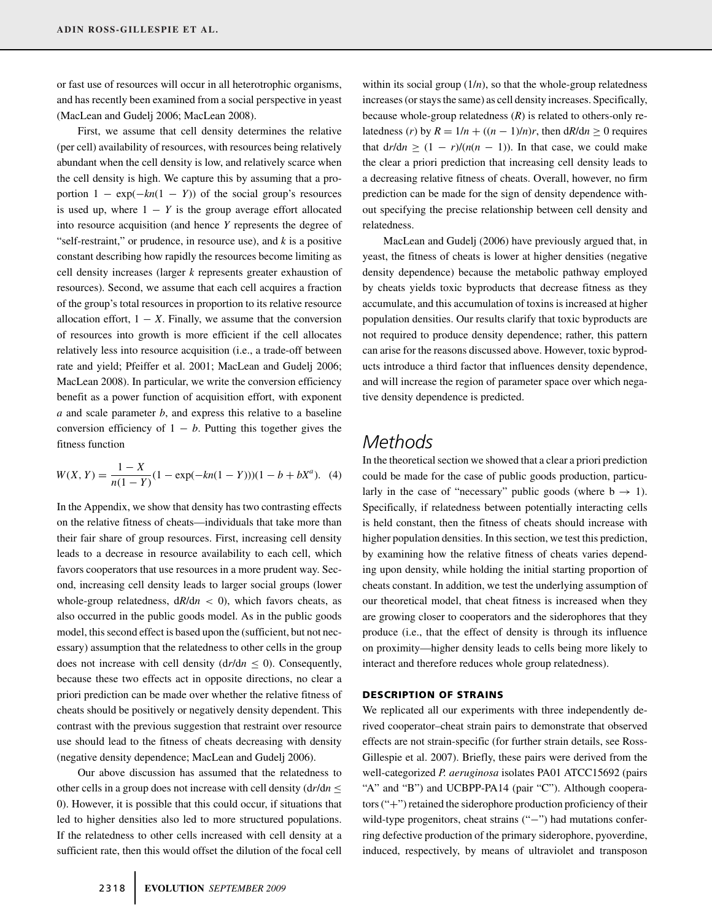or fast use of resources will occur in all heterotrophic organisms, and has recently been examined from a social perspective in yeast (MacLean and Gudelj 2006; MacLean 2008).

First, we assume that cell density determines the relative (per cell) availability of resources, with resources being relatively abundant when the cell density is low, and relatively scarce when the cell density is high. We capture this by assuming that a proportion  $1 - \exp(-kn(1 - Y))$  of the social group's resources is used up, where  $1 - Y$  is the group average effort allocated into resource acquisition (and hence *Y* represents the degree of "self-restraint," or prudence, in resource use), and *k* is a positive constant describing how rapidly the resources become limiting as cell density increases (larger *k* represents greater exhaustion of resources). Second, we assume that each cell acquires a fraction of the group's total resources in proportion to its relative resource allocation effort,  $1 - X$ . Finally, we assume that the conversion of resources into growth is more efficient if the cell allocates relatively less into resource acquisition (i.e., a trade-off between rate and yield; Pfeiffer et al. 2001; MacLean and Gudelj 2006; MacLean 2008). In particular, we write the conversion efficiency benefit as a power function of acquisition effort, with exponent *a* and scale parameter *b*, and express this relative to a baseline conversion efficiency of  $1 - b$ . Putting this together gives the fitness function

$$
W(X, Y) = \frac{1 - X}{n(1 - Y)} (1 - \exp(-kn(1 - Y)))(1 - b + bX^{a}).
$$
 (4)

In the Appendix, we show that density has two contrasting effects on the relative fitness of cheats—individuals that take more than their fair share of group resources. First, increasing cell density leads to a decrease in resource availability to each cell, which favors cooperators that use resources in a more prudent way. Second, increasing cell density leads to larger social groups (lower whole-group relatedness,  $dR/dn < 0$ , which favors cheats, as also occurred in the public goods model. As in the public goods model, this second effect is based upon the (sufficient, but not necessary) assumption that the relatedness to other cells in the group does not increase with cell density  $\left(\frac{dr}{dn} \leq 0\right)$ . Consequently, because these two effects act in opposite directions, no clear a priori prediction can be made over whether the relative fitness of cheats should be positively or negatively density dependent. This contrast with the previous suggestion that restraint over resource use should lead to the fitness of cheats decreasing with density (negative density dependence; MacLean and Gudelj 2006).

Our above discussion has assumed that the relatedness to other cells in a group does not increase with cell density (d*r*/d*n* ≤ 0). However, it is possible that this could occur, if situations that led to higher densities also led to more structured populations. If the relatedness to other cells increased with cell density at a sufficient rate, then this would offset the dilution of the focal cell

within its social group  $(1/n)$ , so that the whole-group relatedness increases (or stays the same) as cell density increases. Specifically, because whole-group relatedness (*R*) is related to others-only relatedness (*r*) by  $R = 1/n + ((n - 1)/n)r$ , then  $dR/dn > 0$  requires that  $dr/dn \ge (1 - r)/(n(n - 1))$ . In that case, we could make the clear a priori prediction that increasing cell density leads to a decreasing relative fitness of cheats. Overall, however, no firm prediction can be made for the sign of density dependence without specifying the precise relationship between cell density and relatedness.

MacLean and Gudelj (2006) have previously argued that, in yeast, the fitness of cheats is lower at higher densities (negative density dependence) because the metabolic pathway employed by cheats yields toxic byproducts that decrease fitness as they accumulate, and this accumulation of toxins is increased at higher population densities. Our results clarify that toxic byproducts are not required to produce density dependence; rather, this pattern can arise for the reasons discussed above. However, toxic byproducts introduce a third factor that influences density dependence, and will increase the region of parameter space over which negative density dependence is predicted.

# *Methods*

In the theoretical section we showed that a clear a priori prediction could be made for the case of public goods production, particularly in the case of "necessary" public goods (where  $b \rightarrow 1$ ). Specifically, if relatedness between potentially interacting cells is held constant, then the fitness of cheats should increase with higher population densities. In this section, we test this prediction, by examining how the relative fitness of cheats varies depending upon density, while holding the initial starting proportion of cheats constant. In addition, we test the underlying assumption of our theoretical model, that cheat fitness is increased when they are growing closer to cooperators and the siderophores that they produce (i.e., that the effect of density is through its influence on proximity—higher density leads to cells being more likely to interact and therefore reduces whole group relatedness).

### DESCRIPTION OF STRAINS

We replicated all our experiments with three independently derived cooperator–cheat strain pairs to demonstrate that observed effects are not strain-specific (for further strain details, see Ross-Gillespie et al. 2007). Briefly, these pairs were derived from the well-categorized *P. aeruginosa* isolates PA01 ATCC15692 (pairs "A" and "B") and UCBPP-PA14 (pair "C"). Although cooperators ("+") retained the siderophore production proficiency of their wild-type progenitors, cheat strains ("−") had mutations conferring defective production of the primary siderophore, pyoverdine, induced, respectively, by means of ultraviolet and transposon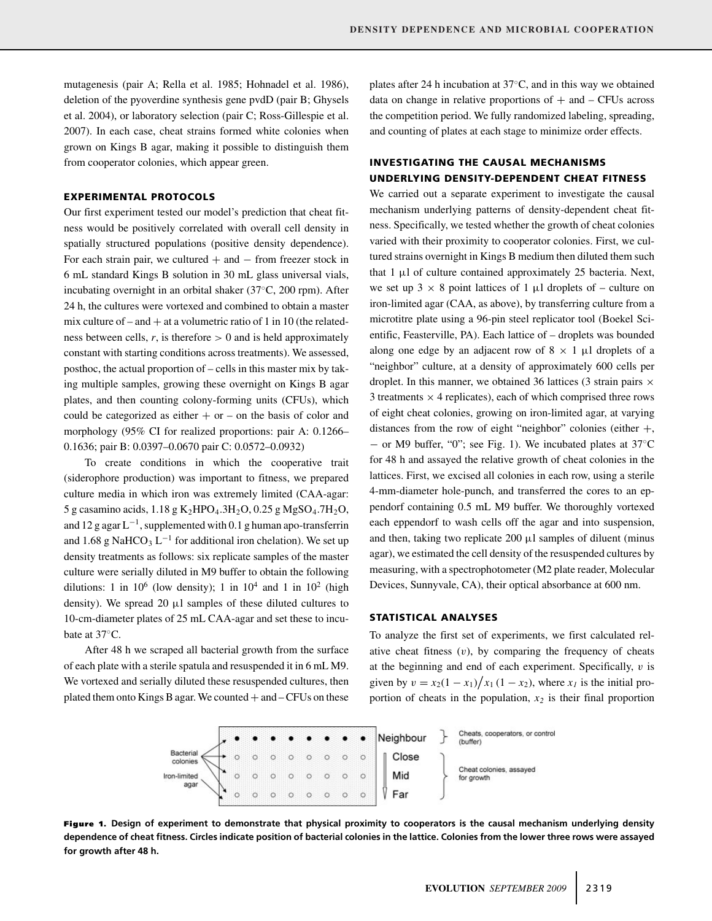mutagenesis (pair A; Rella et al. 1985; Hohnadel et al. 1986), deletion of the pyoverdine synthesis gene pvdD (pair B; Ghysels et al. 2004), or laboratory selection (pair C; Ross-Gillespie et al. 2007). In each case, cheat strains formed white colonies when grown on Kings B agar, making it possible to distinguish them from cooperator colonies, which appear green.

### EXPERIMENTAL PROTOCOLS

Our first experiment tested our model's prediction that cheat fitness would be positively correlated with overall cell density in spatially structured populations (positive density dependence). For each strain pair, we cultured  $+$  and  $-$  from freezer stock in 6 mL standard Kings B solution in 30 mL glass universal vials, incubating overnight in an orbital shaker (37◦C, 200 rpm). After 24 h, the cultures were vortexed and combined to obtain a master mix culture of  $-$  and  $+$  at a volumetric ratio of 1 in 10 (the relatedness between cells,  $r$ , is therefore  $> 0$  and is held approximately constant with starting conditions across treatments). We assessed, posthoc, the actual proportion of – cells in this master mix by taking multiple samples, growing these overnight on Kings B agar plates, and then counting colony-forming units (CFUs), which could be categorized as either  $+$  or  $-$  on the basis of color and morphology (95% CI for realized proportions: pair A: 0.1266– 0.1636; pair B: 0.0397–0.0670 pair C: 0.0572–0.0932)

To create conditions in which the cooperative trait (siderophore production) was important to fitness, we prepared culture media in which iron was extremely limited (CAA-agar: 5 g casamino acids,  $1.18 \text{ g K}_2$ HPO<sub>4</sub>.3H<sub>2</sub>O, 0.25 g MgSO<sub>4</sub>.7H<sub>2</sub>O, and 12 g agar  $L^{-1}$ , supplemented with 0.1 g human apo-transferrin and 1.68 g NaHCO<sub>3</sub> L<sup>-1</sup> for additional iron chelation). We set up density treatments as follows: six replicate samples of the master culture were serially diluted in M9 buffer to obtain the following dilutions: 1 in  $10^6$  (low density); 1 in  $10^4$  and 1 in  $10^2$  (high density). We spread 20 μl samples of these diluted cultures to 10-cm-diameter plates of 25 mL CAA-agar and set these to incubate at 37◦C.

After 48 h we scraped all bacterial growth from the surface of each plate with a sterile spatula and resuspended it in 6 mL M9. We vortexed and serially diluted these resuspended cultures, then plated them onto Kings B agar. We counted  $+$  and  $-$  CFUs on these plates after 24 h incubation at 37◦C, and in this way we obtained data on change in relative proportions of  $+$  and  $-$  CFUs across the competition period. We fully randomized labeling, spreading, and counting of plates at each stage to minimize order effects.

## INVESTIGATING THE CAUSAL MECHANISMS UNDERLYING DENSITY-DEPENDENT CHEAT FITNESS

We carried out a separate experiment to investigate the causal mechanism underlying patterns of density-dependent cheat fitness. Specifically, we tested whether the growth of cheat colonies varied with their proximity to cooperator colonies. First, we cultured strains overnight in Kings B medium then diluted them such that 1 μl of culture contained approximately 25 bacteria. Next, we set up  $3 \times 8$  point lattices of 1  $\mu$ l droplets of – culture on iron-limited agar (CAA, as above), by transferring culture from a microtitre plate using a 96-pin steel replicator tool (Boekel Scientific, Feasterville, PA). Each lattice of – droplets was bounded along one edge by an adjacent row of  $8 \times 1$  µl droplets of a "neighbor" culture, at a density of approximately 600 cells per droplet. In this manner, we obtained 36 lattices (3 strain pairs  $\times$ 3 treatments  $\times$  4 replicates), each of which comprised three rows of eight cheat colonies, growing on iron-limited agar, at varying distances from the row of eight "neighbor" colonies (either +, − or M9 buffer, "0"; see Fig. 1). We incubated plates at 37◦C for 48 h and assayed the relative growth of cheat colonies in the lattices. First, we excised all colonies in each row, using a sterile 4-mm-diameter hole-punch, and transferred the cores to an eppendorf containing 0.5 mL M9 buffer. We thoroughly vortexed each eppendorf to wash cells off the agar and into suspension, and then, taking two replicate  $200 \mu l$  samples of diluent (minus agar), we estimated the cell density of the resuspended cultures by measuring, with a spectrophotometer (M2 plate reader, Molecular Devices, Sunnyvale, CA), their optical absorbance at 600 nm.

### STATISTICAL ANALYSES

To analyze the first set of experiments, we first calculated relative cheat fitness  $(v)$ , by comparing the frequency of cheats at the beginning and end of each experiment. Specifically,  $v$  is given by  $v = x_2(1 - x_1)/x_1(1 - x_2)$ , where  $x_i$  is the initial proportion of cheats in the population,  $x_2$  is their final proportion



Figure 1. **Design of experiment to demonstrate that physical proximity to cooperators is the causal mechanism underlying density dependence of cheat fitness. Circles indicate position of bacterial colonies in the lattice. Colonies from the lower three rows were assayed for growth after 48 h.**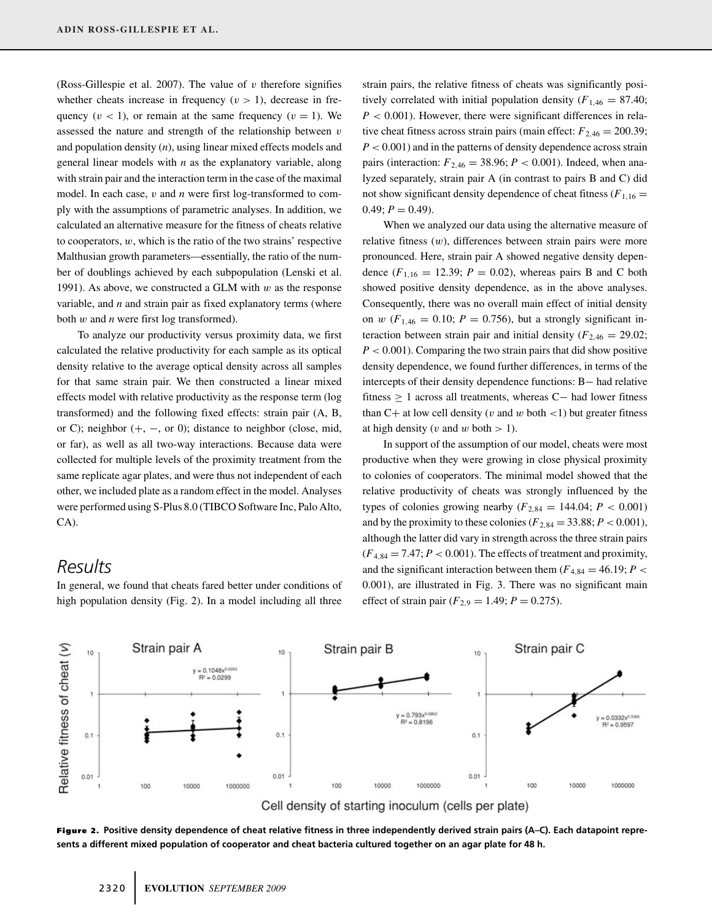(Ross-Gillespie et al. 2007). The value of  $\nu$  therefore signifies whether cheats increase in frequency  $(v > 1)$ , decrease in frequency  $(v < 1)$ , or remain at the same frequency  $(v = 1)$ . We assessed the nature and strength of the relationship between v and population density (*n*), using linear mixed effects models and general linear models with *n* as the explanatory variable, along with strain pair and the interaction term in the case of the maximal model. In each case, v and *n* were first log-transformed to comply with the assumptions of parametric analyses. In addition, we calculated an alternative measure for the fitness of cheats relative to cooperators,  $w$ , which is the ratio of the two strains' respective Malthusian growth parameters—essentially, the ratio of the number of doublings achieved by each subpopulation (Lenski et al. 1991). As above, we constructed a GLM with  $w$  as the response variable, and *n* and strain pair as fixed explanatory terms (where both w and *n* were first log transformed).

To analyze our productivity versus proximity data, we first calculated the relative productivity for each sample as its optical density relative to the average optical density across all samples for that same strain pair. We then constructed a linear mixed effects model with relative productivity as the response term (log transformed) and the following fixed effects: strain pair (A, B, or C); neighbor  $(+, -, or 0)$ ; distance to neighbor (close, mid, or far), as well as all two-way interactions. Because data were collected for multiple levels of the proximity treatment from the same replicate agar plates, and were thus not independent of each other, we included plate as a random effect in the model. Analyses were performed using S-Plus 8.0 (TIBCO Software Inc, Palo Alto, CA).

# *Results*

In general, we found that cheats fared better under conditions of high population density (Fig. 2). In a model including all three

strain pairs, the relative fitness of cheats was significantly positively correlated with initial population density  $(F_{1,46} = 87.40;$  $P < 0.001$ ). However, there were significant differences in relative cheat fitness across strain pairs (main effect:  $F_{2,46} = 200.39$ ; *P* < 0.001) and in the patterns of density dependence across strain pairs (interaction:  $F_{2,46} = 38.96; P < 0.001$ ). Indeed, when analyzed separately, strain pair A (in contrast to pairs B and C) did not show significant density dependence of cheat fitness  $(F_{1,16} =$  $0.49; P = 0.49$ .

When we analyzed our data using the alternative measure of relative fitness  $(w)$ , differences between strain pairs were more pronounced. Here, strain pair A showed negative density dependence  $(F_{1,16} = 12.39; P = 0.02)$ , whereas pairs B and C both showed positive density dependence, as in the above analyses. Consequently, there was no overall main effect of initial density on *w* ( $F_{1,46} = 0.10$ ;  $P = 0.756$ ), but a strongly significant interaction between strain pair and initial density  $(F_{2,46} = 29.02;$  $P < 0.001$ ). Comparing the two strain pairs that did show positive density dependence, we found further differences, in terms of the intercepts of their density dependence functions: B− had relative fitness ≥ 1 across all treatments, whereas C− had lower fitness than C+ at low cell density (v and w both  $\langle 1 \rangle$ ) but greater fitness at high density ( $v$  and  $w$  both  $> 1$ ).

In support of the assumption of our model, cheats were most productive when they were growing in close physical proximity to colonies of cooperators. The minimal model showed that the relative productivity of cheats was strongly influenced by the types of colonies growing nearby  $(F_{2,84} = 144.04; P < 0.001)$ and by the proximity to these colonies ( $F_{2,84} = 33.88; P < 0.001$ ), although the latter did vary in strength across the three strain pairs  $(F_{4,84} = 7.47; P < 0.001)$ . The effects of treatment and proximity, and the significant interaction between them ( $F_{4,84} = 46.19$ ;  $P <$ 0.001), are illustrated in Fig. 3. There was no significant main effect of strain pair  $(F_{2,9} = 1.49; P = 0.275)$ .



Figure 2. **Positive density dependence of cheat relative fitness in three independently derived strain pairs (A–C). Each datapoint represents a different mixed population of cooperator and cheat bacteria cultured together on an agar plate for 48 h.**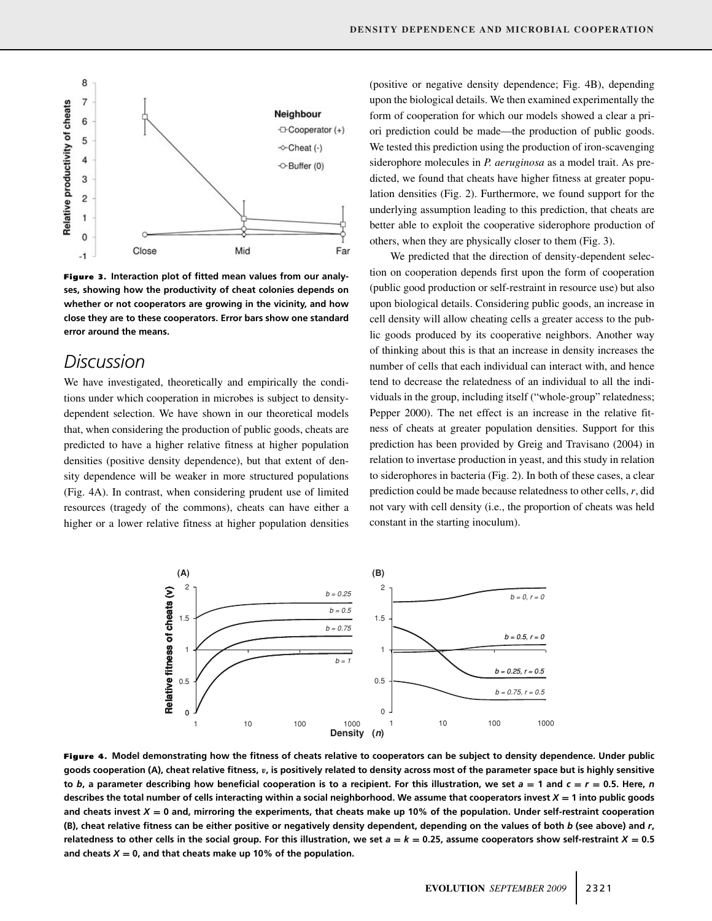

Figure 3. **Interaction plot of fitted mean values from our analyses, showing how the productivity of cheat colonies depends on whether or not cooperators are growing in the vicinity, and how close they are to these cooperators. Error bars show one standard error around the means.**

# *Discussion*

We have investigated, theoretically and empirically the conditions under which cooperation in microbes is subject to densitydependent selection. We have shown in our theoretical models that, when considering the production of public goods, cheats are predicted to have a higher relative fitness at higher population densities (positive density dependence), but that extent of density dependence will be weaker in more structured populations (Fig. 4A). In contrast, when considering prudent use of limited resources (tragedy of the commons), cheats can have either a higher or a lower relative fitness at higher population densities

(positive or negative density dependence; Fig. 4B), depending upon the biological details. We then examined experimentally the form of cooperation for which our models showed a clear a priori prediction could be made—the production of public goods. We tested this prediction using the production of iron-scavenging siderophore molecules in *P. aeruginosa* as a model trait. As predicted, we found that cheats have higher fitness at greater population densities (Fig. 2). Furthermore, we found support for the underlying assumption leading to this prediction, that cheats are better able to exploit the cooperative siderophore production of others, when they are physically closer to them (Fig. 3).

We predicted that the direction of density-dependent selection on cooperation depends first upon the form of cooperation (public good production or self-restraint in resource use) but also upon biological details. Considering public goods, an increase in cell density will allow cheating cells a greater access to the public goods produced by its cooperative neighbors. Another way of thinking about this is that an increase in density increases the number of cells that each individual can interact with, and hence tend to decrease the relatedness of an individual to all the individuals in the group, including itself ("whole-group" relatedness; Pepper 2000). The net effect is an increase in the relative fitness of cheats at greater population densities. Support for this prediction has been provided by Greig and Travisano (2004) in relation to invertase production in yeast, and this study in relation to siderophores in bacteria (Fig. 2). In both of these cases, a clear prediction could be made because relatedness to other cells, *r*, did not vary with cell density (i.e., the proportion of cheats was held constant in the starting inoculum).



Figure 4. **Model demonstrating how the fitness of cheats relative to cooperators can be subject to density dependence. Under public goods cooperation (A), cheat relative fitness, v, is positively related to density across most of the parameter space but is highly sensitive** to *b*, a parameter describing how beneficial cooperation is to a recipient. For this illustration, we set  $a = 1$  and  $c = r = 0.5$ . Here, *n* **describes the total number of cells interacting within a social neighborhood. We assume that cooperators invest** *X* **= 1 into public goods and cheats invest** *X* **= 0 and, mirroring the experiments, that cheats make up 10% of the population. Under self-restraint cooperation (B), cheat relative fitness can be either positive or negatively density dependent, depending on the values of both** *b* **(see above) and** *r***,** relatedness to other cells in the social group. For this illustration, we set  $a = k = 0.25$ , assume cooperators show self-restraint  $X = 0.5$ and cheats  $X = 0$ , and that cheats make up 10% of the population.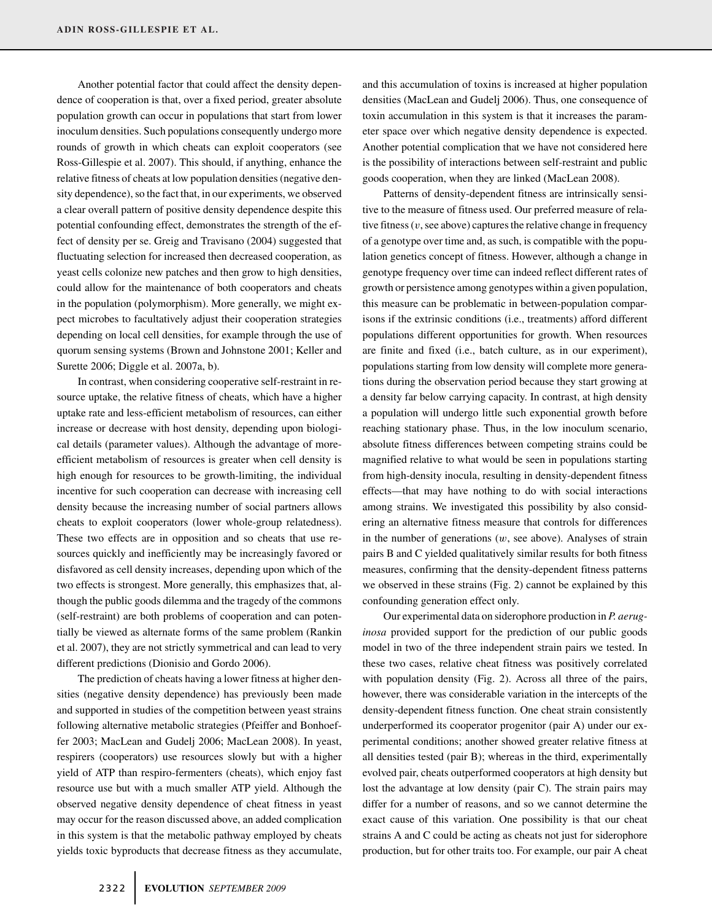Another potential factor that could affect the density dependence of cooperation is that, over a fixed period, greater absolute population growth can occur in populations that start from lower inoculum densities. Such populations consequently undergo more rounds of growth in which cheats can exploit cooperators (see Ross-Gillespie et al. 2007). This should, if anything, enhance the relative fitness of cheats at low population densities (negative density dependence), so the fact that, in our experiments, we observed a clear overall pattern of positive density dependence despite this potential confounding effect, demonstrates the strength of the effect of density per se. Greig and Travisano (2004) suggested that fluctuating selection for increased then decreased cooperation, as yeast cells colonize new patches and then grow to high densities, could allow for the maintenance of both cooperators and cheats in the population (polymorphism). More generally, we might expect microbes to facultatively adjust their cooperation strategies depending on local cell densities, for example through the use of quorum sensing systems (Brown and Johnstone 2001; Keller and Surette 2006; Diggle et al. 2007a, b).

In contrast, when considering cooperative self-restraint in resource uptake, the relative fitness of cheats, which have a higher uptake rate and less-efficient metabolism of resources, can either increase or decrease with host density, depending upon biological details (parameter values). Although the advantage of moreefficient metabolism of resources is greater when cell density is high enough for resources to be growth-limiting, the individual incentive for such cooperation can decrease with increasing cell density because the increasing number of social partners allows cheats to exploit cooperators (lower whole-group relatedness). These two effects are in opposition and so cheats that use resources quickly and inefficiently may be increasingly favored or disfavored as cell density increases, depending upon which of the two effects is strongest. More generally, this emphasizes that, although the public goods dilemma and the tragedy of the commons (self-restraint) are both problems of cooperation and can potentially be viewed as alternate forms of the same problem (Rankin et al. 2007), they are not strictly symmetrical and can lead to very different predictions (Dionisio and Gordo 2006).

The prediction of cheats having a lower fitness at higher densities (negative density dependence) has previously been made and supported in studies of the competition between yeast strains following alternative metabolic strategies (Pfeiffer and Bonhoeffer 2003; MacLean and Gudelj 2006; MacLean 2008). In yeast, respirers (cooperators) use resources slowly but with a higher yield of ATP than respiro-fermenters (cheats), which enjoy fast resource use but with a much smaller ATP yield. Although the observed negative density dependence of cheat fitness in yeast may occur for the reason discussed above, an added complication in this system is that the metabolic pathway employed by cheats yields toxic byproducts that decrease fitness as they accumulate,

and this accumulation of toxins is increased at higher population densities (MacLean and Gudelj 2006). Thus, one consequence of toxin accumulation in this system is that it increases the parameter space over which negative density dependence is expected. Another potential complication that we have not considered here is the possibility of interactions between self-restraint and public goods cooperation, when they are linked (MacLean 2008).

Patterns of density-dependent fitness are intrinsically sensitive to the measure of fitness used. Our preferred measure of relative fitness  $(v, \text{see above})$  captures the relative change in frequency of a genotype over time and, as such, is compatible with the population genetics concept of fitness. However, although a change in genotype frequency over time can indeed reflect different rates of growth or persistence among genotypes within a given population, this measure can be problematic in between-population comparisons if the extrinsic conditions (i.e., treatments) afford different populations different opportunities for growth. When resources are finite and fixed (i.e., batch culture, as in our experiment), populations starting from low density will complete more generations during the observation period because they start growing at a density far below carrying capacity. In contrast, at high density a population will undergo little such exponential growth before reaching stationary phase. Thus, in the low inoculum scenario, absolute fitness differences between competing strains could be magnified relative to what would be seen in populations starting from high-density inocula, resulting in density-dependent fitness effects—that may have nothing to do with social interactions among strains. We investigated this possibility by also considering an alternative fitness measure that controls for differences in the number of generations  $(w, \text{ see above})$ . Analyses of strain pairs B and C yielded qualitatively similar results for both fitness measures, confirming that the density-dependent fitness patterns we observed in these strains (Fig. 2) cannot be explained by this confounding generation effect only.

Our experimental data on siderophore production in *P. aeruginosa* provided support for the prediction of our public goods model in two of the three independent strain pairs we tested. In these two cases, relative cheat fitness was positively correlated with population density (Fig. 2). Across all three of the pairs, however, there was considerable variation in the intercepts of the density-dependent fitness function. One cheat strain consistently underperformed its cooperator progenitor (pair A) under our experimental conditions; another showed greater relative fitness at all densities tested (pair B); whereas in the third, experimentally evolved pair, cheats outperformed cooperators at high density but lost the advantage at low density (pair C). The strain pairs may differ for a number of reasons, and so we cannot determine the exact cause of this variation. One possibility is that our cheat strains A and C could be acting as cheats not just for siderophore production, but for other traits too. For example, our pair A cheat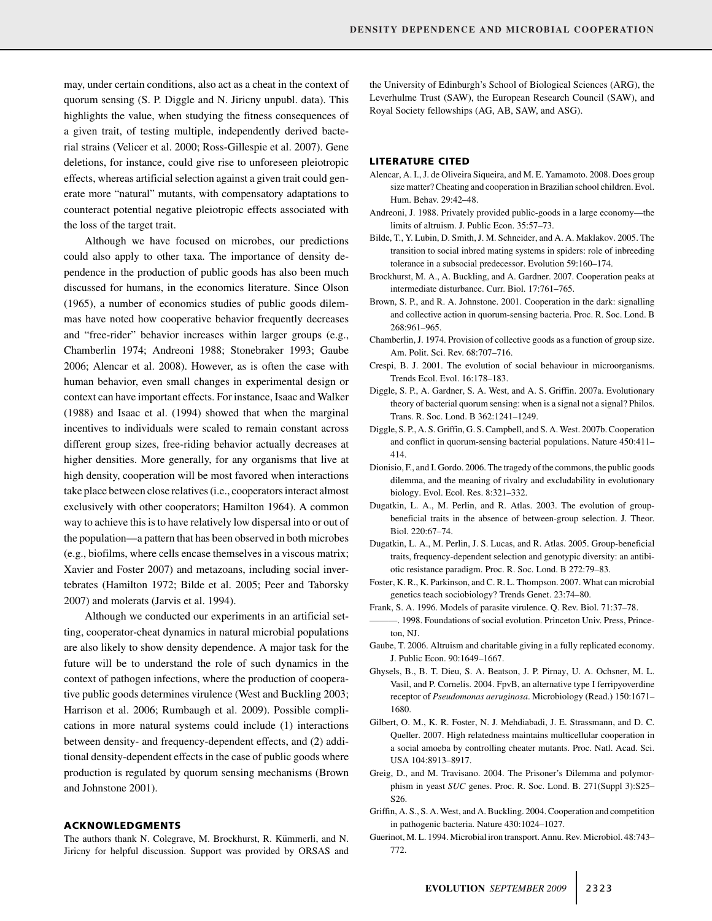may, under certain conditions, also act as a cheat in the context of quorum sensing (S. P. Diggle and N. Jiricny unpubl. data). This highlights the value, when studying the fitness consequences of a given trait, of testing multiple, independently derived bacterial strains (Velicer et al. 2000; Ross-Gillespie et al. 2007). Gene deletions, for instance, could give rise to unforeseen pleiotropic effects, whereas artificial selection against a given trait could generate more "natural" mutants, with compensatory adaptations to counteract potential negative pleiotropic effects associated with the loss of the target trait.

Although we have focused on microbes, our predictions could also apply to other taxa. The importance of density dependence in the production of public goods has also been much discussed for humans, in the economics literature. Since Olson (1965), a number of economics studies of public goods dilemmas have noted how cooperative behavior frequently decreases and "free-rider" behavior increases within larger groups (e.g., Chamberlin 1974; Andreoni 1988; Stonebraker 1993; Gaube 2006; Alencar et al. 2008). However, as is often the case with human behavior, even small changes in experimental design or context can have important effects. For instance, Isaac and Walker (1988) and Isaac et al. (1994) showed that when the marginal incentives to individuals were scaled to remain constant across different group sizes, free-riding behavior actually decreases at higher densities. More generally, for any organisms that live at high density, cooperation will be most favored when interactions take place between close relatives (i.e., cooperators interact almost exclusively with other cooperators; Hamilton 1964). A common way to achieve this is to have relatively low dispersal into or out of the population—a pattern that has been observed in both microbes (e.g., biofilms, where cells encase themselves in a viscous matrix; Xavier and Foster 2007) and metazoans, including social invertebrates (Hamilton 1972; Bilde et al. 2005; Peer and Taborsky 2007) and molerats (Jarvis et al. 1994).

Although we conducted our experiments in an artificial setting, cooperator-cheat dynamics in natural microbial populations are also likely to show density dependence. A major task for the future will be to understand the role of such dynamics in the context of pathogen infections, where the production of cooperative public goods determines virulence (West and Buckling 2003; Harrison et al. 2006; Rumbaugh et al. 2009). Possible complications in more natural systems could include (1) interactions between density- and frequency-dependent effects, and (2) additional density-dependent effects in the case of public goods where production is regulated by quorum sensing mechanisms (Brown and Johnstone 2001).

#### ACKNOWLEDGMENTS

The authors thank N. Colegrave, M. Brockhurst, R. Kümmerli, and N. Jiricny for helpful discussion. Support was provided by ORSAS and

the University of Edinburgh's School of Biological Sciences (ARG), the Leverhulme Trust (SAW), the European Research Council (SAW), and Royal Society fellowships (AG, AB, SAW, and ASG).

#### LITERATURE CITED

- Alencar, A. I., J. de Oliveira Siqueira, and M. E. Yamamoto. 2008. Does group size matter? Cheating and cooperation in Brazilian school children. Evol. Hum. Behav. 29:42–48.
- Andreoni, J. 1988. Privately provided public-goods in a large economy—the limits of altruism. J. Public Econ. 35:57–73.
- Bilde, T., Y. Lubin, D. Smith, J. M. Schneider, and A. A. Maklakov. 2005. The transition to social inbred mating systems in spiders: role of inbreeding tolerance in a subsocial predecessor. Evolution 59:160–174.
- Brockhurst, M. A., A. Buckling, and A. Gardner. 2007. Cooperation peaks at intermediate disturbance. Curr. Biol. 17:761–765.
- Brown, S. P., and R. A. Johnstone. 2001. Cooperation in the dark: signalling and collective action in quorum-sensing bacteria. Proc. R. Soc. Lond. B 268:961–965.
- Chamberlin, J. 1974. Provision of collective goods as a function of group size. Am. Polit. Sci. Rev. 68:707–716.
- Crespi, B. J. 2001. The evolution of social behaviour in microorganisms. Trends Ecol. Evol. 16:178–183.
- Diggle, S. P., A. Gardner, S. A. West, and A. S. Griffin. 2007a. Evolutionary theory of bacterial quorum sensing: when is a signal not a signal? Philos. Trans. R. Soc. Lond. B 362:1241–1249.
- Diggle, S. P., A. S. Griffin, G. S. Campbell, and S. A. West. 2007b. Cooperation and conflict in quorum-sensing bacterial populations. Nature 450:411– 414.
- Dionisio, F., and I. Gordo. 2006. The tragedy of the commons, the public goods dilemma, and the meaning of rivalry and excludability in evolutionary biology. Evol. Ecol. Res. 8:321–332.
- Dugatkin, L. A., M. Perlin, and R. Atlas. 2003. The evolution of groupbeneficial traits in the absence of between-group selection. J. Theor. Biol. 220:67–74.
- Dugatkin, L. A., M. Perlin, J. S. Lucas, and R. Atlas. 2005. Group-beneficial traits, frequency-dependent selection and genotypic diversity: an antibiotic resistance paradigm. Proc. R. Soc. Lond. B 272:79–83.
- Foster, K. R., K. Parkinson, and C. R. L. Thompson. 2007. What can microbial genetics teach sociobiology? Trends Genet. 23:74–80.
- Frank, S. A. 1996. Models of parasite virulence. Q. Rev. Biol. 71:37–78.
- ———. 1998. Foundations of social evolution. Princeton Univ. Press, Princeton, NJ.
- Gaube, T. 2006. Altruism and charitable giving in a fully replicated economy. J. Public Econ. 90:1649–1667.
- Ghysels, B., B. T. Dieu, S. A. Beatson, J. P. Pirnay, U. A. Ochsner, M. L. Vasil, and P. Cornelis. 2004. FpvB, an alternative type I ferripyoverdine receptor of *Pseudomonas aeruginosa*. Microbiology (Read.) 150:1671– 1680.
- Gilbert, O. M., K. R. Foster, N. J. Mehdiabadi, J. E. Strassmann, and D. C. Queller. 2007. High relatedness maintains multicellular cooperation in a social amoeba by controlling cheater mutants. Proc. Natl. Acad. Sci. USA 104:8913–8917.
- Greig, D., and M. Travisano. 2004. The Prisoner's Dilemma and polymorphism in yeast *SUC* genes. Proc. R. Soc. Lond. B. 271(Suppl 3):S25-S26.
- Griffin, A. S., S. A. West, and A. Buckling. 2004. Cooperation and competition in pathogenic bacteria. Nature 430:1024–1027.
- Guerinot, M. L. 1994. Microbial iron transport. Annu. Rev. Microbiol. 48:743– 772.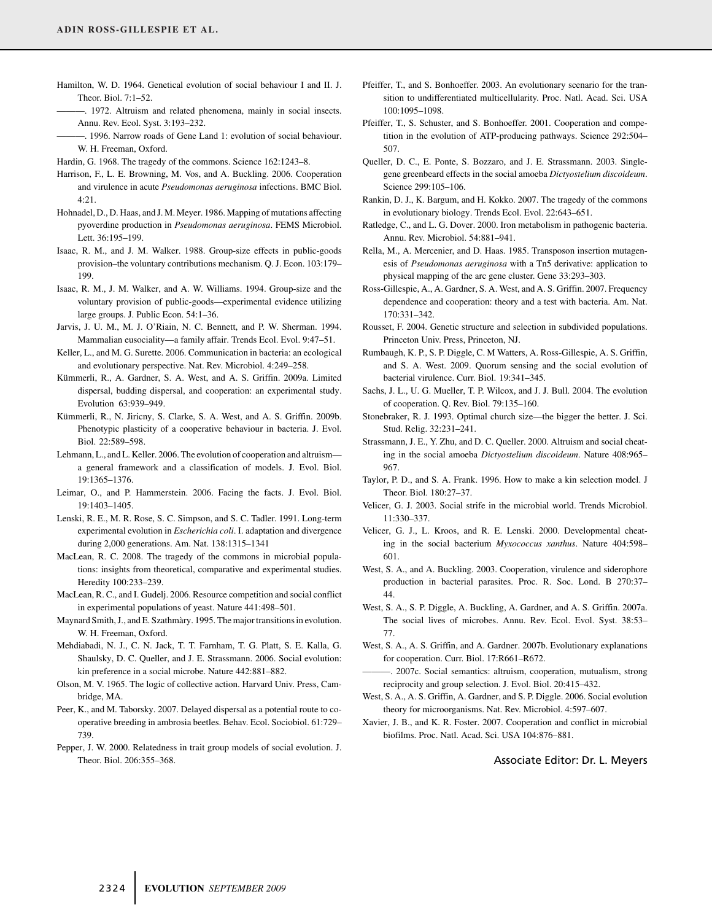- Hamilton, W. D. 1964. Genetical evolution of social behaviour I and II. J. Theor. Biol. 7:1–52.
	- -. 1972. Altruism and related phenomena, mainly in social insects. Annu. Rev. Ecol. Syst. 3:193–232.
	- ———. 1996. Narrow roads of Gene Land 1: evolution of social behaviour. W. H. Freeman, Oxford.
- Hardin, G. 1968. The tragedy of the commons. Science 162:1243–8.
- Harrison, F., L. E. Browning, M. Vos, and A. Buckling. 2006. Cooperation and virulence in acute *Pseudomonas aeruginosa* infections. BMC Biol. 4:21.
- Hohnadel, D., D. Haas, and J. M. Meyer. 1986. Mapping of mutations affecting pyoverdine production in *Pseudomonas aeruginosa*. FEMS Microbiol. Lett. 36:195–199.
- Isaac, R. M., and J. M. Walker. 1988. Group-size effects in public-goods provision–the voluntary contributions mechanism. Q. J. Econ. 103:179– 199.
- Isaac, R. M., J. M. Walker, and A. W. Williams. 1994. Group-size and the voluntary provision of public-goods—experimental evidence utilizing large groups. J. Public Econ. 54:1–36.
- Jarvis, J. U. M., M. J. O'Riain, N. C. Bennett, and P. W. Sherman. 1994. Mammalian eusociality—a family affair. Trends Ecol. Evol. 9:47–51.
- Keller, L., and M. G. Surette. 2006. Communication in bacteria: an ecological and evolutionary perspective. Nat. Rev. Microbiol. 4:249–258.
- Kümmerli, R., A. Gardner, S. A. West, and A. S. Griffin. 2009a. Limited dispersal, budding dispersal, and cooperation: an experimental study. Evolution 63:939–949.
- Kümmerli, R., N. Jiricny, S. Clarke, S. A. West, and A. S. Griffin. 2009b. Phenotypic plasticity of a cooperative behaviour in bacteria. J. Evol. Biol. 22:589–598.
- Lehmann, L., and L. Keller. 2006. The evolution of cooperation and altruism a general framework and a classification of models. J. Evol. Biol. 19:1365–1376.
- Leimar, O., and P. Hammerstein. 2006. Facing the facts. J. Evol. Biol. 19:1403–1405.
- Lenski, R. E., M. R. Rose, S. C. Simpson, and S. C. Tadler. 1991. Long-term experimental evolution in *Escherichia coli*. I. adaptation and divergence during 2,000 generations. Am. Nat. 138:1315–1341
- MacLean, R. C. 2008. The tragedy of the commons in microbial populations: insights from theoretical, comparative and experimental studies. Heredity 100:233–239.
- MacLean, R. C., and I. Gudelj. 2006. Resource competition and social conflict in experimental populations of yeast. Nature 441:498–501.
- Maynard Smith, J., and E. Szathmàry. 1995. The major transitions in evolution. W. H. Freeman, Oxford.
- Mehdiabadi, N. J., C. N. Jack, T. T. Farnham, T. G. Platt, S. E. Kalla, G. Shaulsky, D. C. Queller, and J. E. Strassmann. 2006. Social evolution: kin preference in a social microbe. Nature 442:881–882.
- Olson, M. V. 1965. The logic of collective action. Harvard Univ. Press, Cambridge, MA.
- Peer, K., and M. Taborsky. 2007. Delayed dispersal as a potential route to cooperative breeding in ambrosia beetles. Behav. Ecol. Sociobiol. 61:729– 739.
- Pepper, J. W. 2000. Relatedness in trait group models of social evolution. J. Theor. Biol. 206:355–368.
- Pfeiffer, T., and S. Bonhoeffer. 2003. An evolutionary scenario for the transition to undifferentiated multicellularity. Proc. Natl. Acad. Sci. USA 100:1095–1098.
- Pfeiffer, T., S. Schuster, and S. Bonhoeffer. 2001. Cooperation and competition in the evolution of ATP-producing pathways. Science 292:504– 507.
- Queller, D. C., E. Ponte, S. Bozzaro, and J. E. Strassmann. 2003. Singlegene greenbeard effects in the social amoeba *Dictyostelium discoideum*. Science 299:105–106.
- Rankin, D. J., K. Bargum, and H. Kokko. 2007. The tragedy of the commons in evolutionary biology. Trends Ecol. Evol. 22:643–651.
- Ratledge, C., and L. G. Dover. 2000. Iron metabolism in pathogenic bacteria. Annu. Rev. Microbiol. 54:881–941.
- Rella, M., A. Mercenier, and D. Haas. 1985. Transposon insertion mutagenesis of *Pseudomonas aeruginosa* with a Tn5 derivative: application to physical mapping of the arc gene cluster. Gene 33:293–303.
- Ross-Gillespie, A., A. Gardner, S. A. West, and A. S. Griffin. 2007. Frequency dependence and cooperation: theory and a test with bacteria. Am. Nat. 170:331–342.
- Rousset, F. 2004. Genetic structure and selection in subdivided populations. Princeton Univ. Press, Princeton, NJ.
- Rumbaugh, K. P., S. P. Diggle, C. M Watters, A. Ross-Gillespie, A. S. Griffin, and S. A. West. 2009. Quorum sensing and the social evolution of bacterial virulence. Curr. Biol. 19:341–345.
- Sachs, J. L., U. G. Mueller, T. P. Wilcox, and J. J. Bull. 2004. The evolution of cooperation. Q. Rev. Biol. 79:135–160.
- Stonebraker, R. J. 1993. Optimal church size—the bigger the better. J. Sci. Stud. Relig. 32:231–241.
- Strassmann, J. E., Y. Zhu, and D. C. Queller. 2000. Altruism and social cheating in the social amoeba *Dictyostelium discoideum*. Nature 408:965– 967.
- Taylor, P. D., and S. A. Frank. 1996. How to make a kin selection model. J Theor. Biol. 180:27–37.
- Velicer, G. J. 2003. Social strife in the microbial world. Trends Microbiol. 11:330–337.
- Velicer, G. J., L. Kroos, and R. E. Lenski. 2000. Developmental cheating in the social bacterium *Myxococcus xanthus*. Nature 404:598– 601.
- West, S. A., and A. Buckling. 2003. Cooperation, virulence and siderophore production in bacterial parasites. Proc. R. Soc. Lond. B 270:37– 44.
- West, S. A., S. P. Diggle, A. Buckling, A. Gardner, and A. S. Griffin. 2007a. The social lives of microbes. Annu. Rev. Ecol. Evol. Syst. 38:53– 77.
- West, S. A., A. S. Griffin, and A. Gardner. 2007b. Evolutionary explanations for cooperation. Curr. Biol. 17:R661–R672.
- ———. 2007c. Social semantics: altruism, cooperation, mutualism, strong reciprocity and group selection. J. Evol. Biol. 20:415–432.
- West, S. A., A. S. Griffin, A. Gardner, and S. P. Diggle. 2006. Social evolution theory for microorganisms. Nat. Rev. Microbiol. 4:597–607.
- Xavier, J. B., and K. R. Foster. 2007. Cooperation and conflict in microbial biofilms. Proc. Natl. Acad. Sci. USA 104:876–881.

Associate Editor: Dr. L. Meyers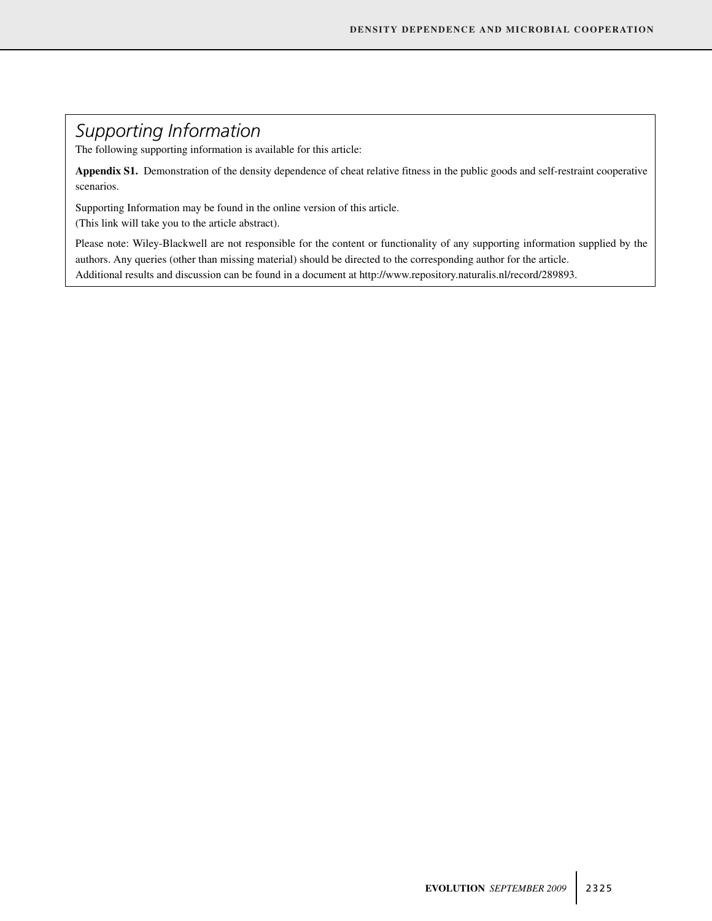# *Supporting Information*

The following supporting information is available for this article:

**Appendix S1.** Demonstration of the density dependence of cheat relative fitness in the public goods and self-restraint cooperative scenarios.

Supporting Information may be found in the online version of this article. (This link will take you to the article abstract).

Please note: Wiley-Blackwell are not responsible for the content or functionality of any supporting information supplied by the authors. Any queries (other than missing material) should be directed to the corresponding author for the article. Additional results and discussion can be found in a document at http://www.repository.naturalis.nl/record/289893.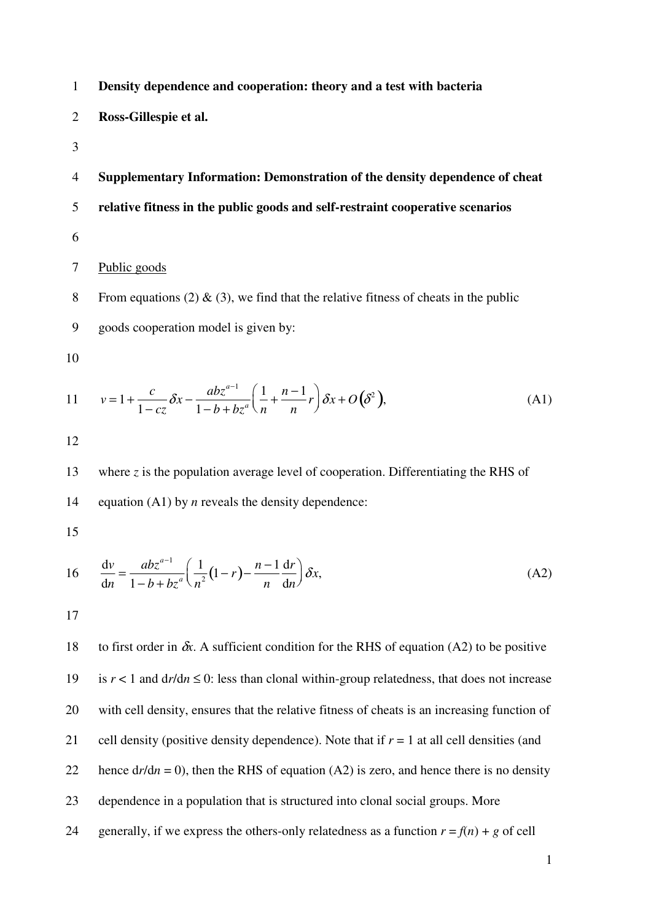1 **Density dependence and cooperation: theory and a test with bacteria**  2 **Ross-Gillespie et al.** 

3

4 **Supplementary Information: Demonstration of the density dependence of cheat** 

5 **relative fitness in the public goods and self-restraint cooperative scenarios** 

6

7 Public goods

8 From equations (2) & (3), we find that the relative fitness of cheats in the public

9 goods cooperation model is given by:

10

11 
$$
v=1+\frac{c}{1-cz}\delta x-\frac{abz^{a-1}}{1-b+bz^a}\left(\frac{1}{n}+\frac{n-1}{n}r\right)\delta x+O(\delta^2),
$$
 (A1)

12

13 where *z* is the population average level of cooperation. Differentiating the RHS of 14 equation (A1) by *n* reveals the density dependence:

15

16 
$$
\frac{dv}{dn} = \frac{abz^{a-1}}{1-b+bz^{a}} \left( \frac{1}{n^{2}} (1-r) - \frac{n-1}{n} \frac{dr}{dn} \right) \delta x,
$$
 (A2)

17

18 to first order in  $\delta x$ . A sufficient condition for the RHS of equation (A2) to be positive 19 is  $r < 1$  and  $dr/dn \le 0$ : less than clonal within-group relatedness, that does not increase 20 with cell density, ensures that the relative fitness of cheats is an increasing function of 21 cell density (positive density dependence). Note that if  $r = 1$  at all cell densities (and 22 hence  $dr/dn = 0$ , then the RHS of equation (A2) is zero, and hence there is no density 23 dependence in a population that is structured into clonal social groups. More 24 generally, if we express the others-only relatedness as a function  $r = f(n) + g$  of cell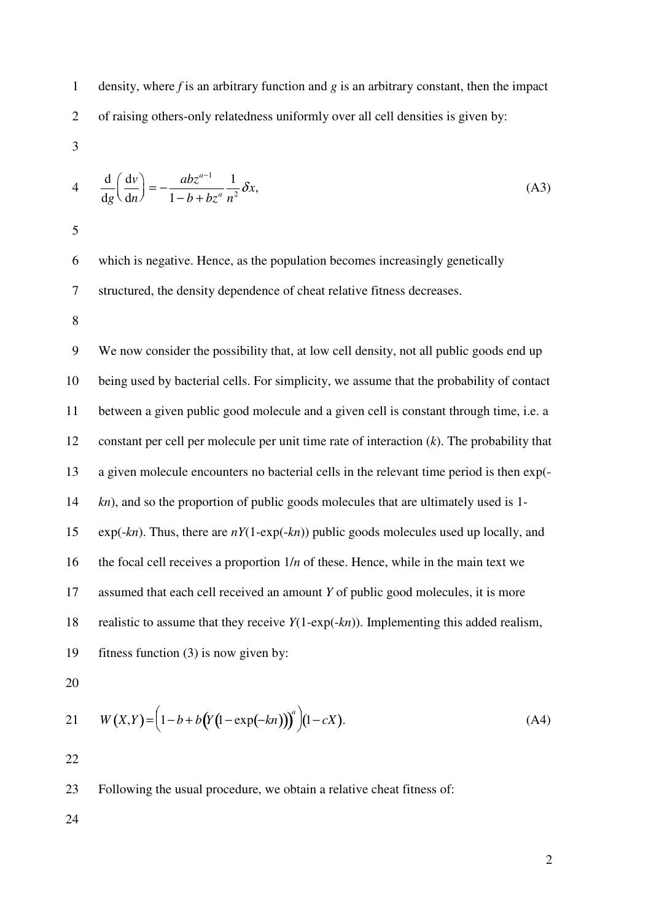1 density, where *f* is an arbitrary function and *g* is an arbitrary constant, then the impact 2 of raising others-only relatedness uniformly over all cell densities is given by:

3

$$
4 \frac{d}{dg}\left(\frac{dv}{dn}\right) = -\frac{abz^{a-1}}{1-b+bz^a} \frac{1}{n^2} \delta x,
$$
\n(A3)

5

6 which is negative. Hence, as the population becomes increasingly genetically 7 structured, the density dependence of cheat relative fitness decreases.

8

9 We now consider the possibility that, at low cell density, not all public goods end up 10 being used by bacterial cells. For simplicity, we assume that the probability of contact 11 between a given public good molecule and a given cell is constant through time, i.e. a 12 constant per cell per molecule per unit time rate of interaction (*k*). The probability that 13 a given molecule encounters no bacterial cells in the relevant time period is then exp(- 14 *kn*), and so the proportion of public goods molecules that are ultimately used is 1- 15 exp(-*kn*). Thus, there are *nY*(1-exp(-*kn*)) public goods molecules used up locally, and 16 the focal cell receives a proportion  $1/n$  of these. Hence, while in the main text we 17 assumed that each cell received an amount *Y* of public good molecules, it is more 18 realistic to assume that they receive *Y*(1-exp(-*kn*)). Implementing this added realism, 19 fitness function (3) is now given by:

20

21 
$$
W(X,Y) = (1-b+b(Y(1-exp(-kn)))^a)(1-cX).
$$
 (A4)

22

23 Following the usual procedure, we obtain a relative cheat fitness of: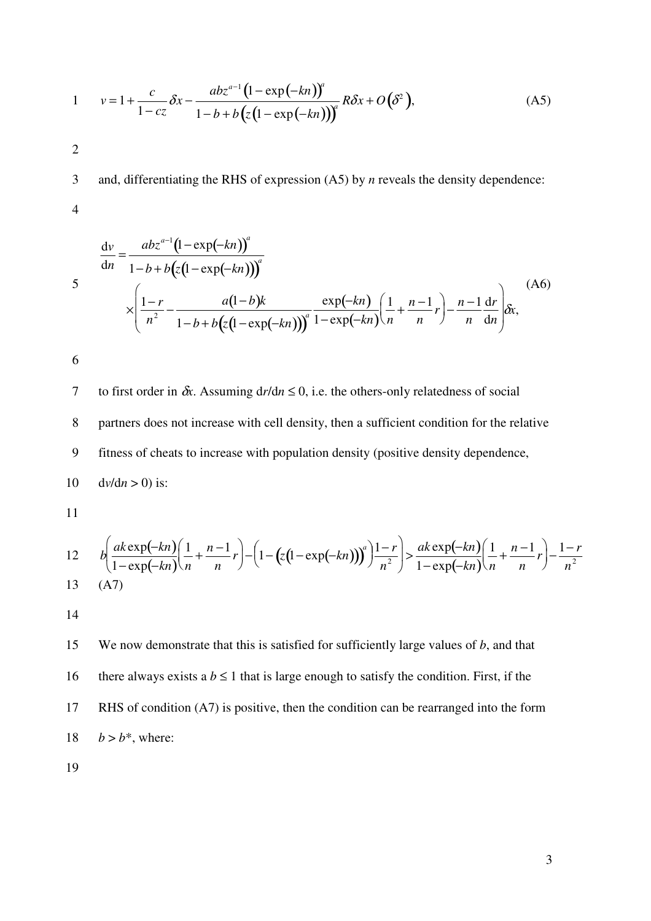1 
$$
v = 1 + \frac{c}{1 - cz} \delta x - \frac{abz^{a-1} (1 - \exp(-kn))^a}{1 - b + b (z (1 - \exp(-kn)))^a} R \delta x + O(\delta^2),
$$
 (A5)

2

3 and, differentiating the RHS of expression (A5) by *n* reveals the density dependence:

4

$$
\frac{dv}{dn} = \frac{abz^{a-1}(1 - \exp(-kn))^a}{1 - b + b(z(1 - \exp(-kn)))^a}
$$
\n
$$
\times \left(\frac{1 - r}{n^2} - \frac{a(1 - b)k}{1 - b + b(z(1 - \exp(-kn)))^a} \frac{\exp(-kn)}{1 - \exp(-kn)} \left(\frac{1}{n} + \frac{n - 1}{n}r\right) - \frac{n - 1}{n} \frac{dr}{dn}\right) \delta x,
$$
\n(A6)

6

7 to first order in  $\delta x$ . Assuming  $\frac{dr}{dn} \leq 0$ , i.e. the others-only relatedness of social 8 partners does not increase with cell density, then a sufficient condition for the relative 9 fitness of cheats to increase with population density (positive density dependence, 10  $dv/dn > 0$ ) is:

11

12 
$$
b\left(\frac{ak \exp(-kn)}{1-\exp(-kn)}\left(\frac{1}{n}+\frac{n-1}{n}r\right)-\left(1-\left(z(1-\exp(-kn))\right)^a\right)\frac{1-r}{n^2}\right) > \frac{ak \exp(-kn)}{1-\exp(-kn)}\left(\frac{1}{n}+\frac{n-1}{n}r\right)-\frac{1-r}{n^2}
$$
  
13 (A7)

14

15 We now demonstrate that this is satisfied for sufficiently large values of *b*, and that 16 there always exists a  $b \le 1$  that is large enough to satisfy the condition. First, if the 17 RHS of condition (A7) is positive, then the condition can be rearranged into the form 18  $b > b^*$ , where: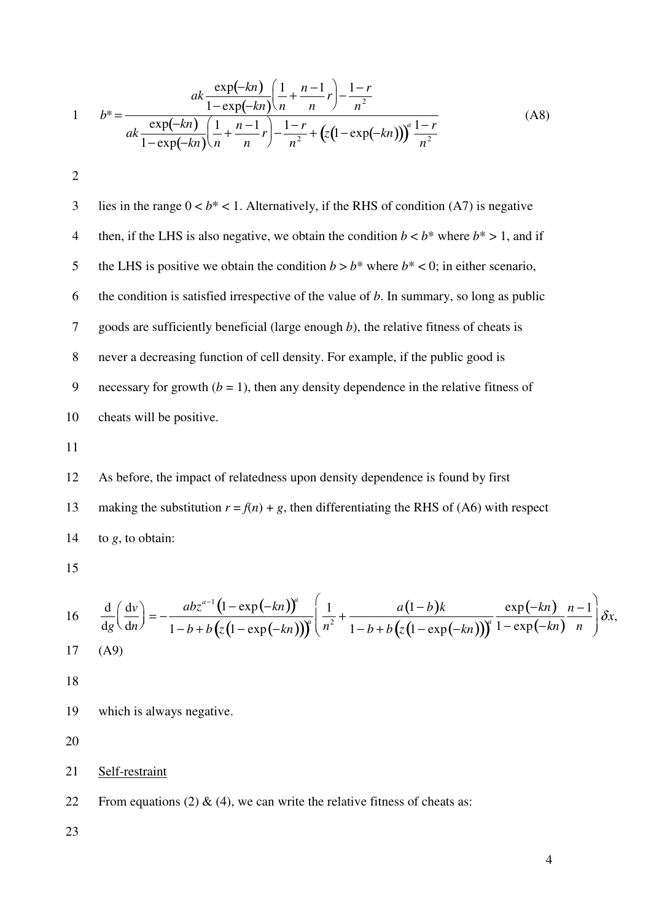$$
1 \t b^* = \frac{ak \exp(-kn)}{ak \exp(-kn)} \left(\frac{1}{n} + \frac{n-1}{n}r\right) - \frac{1-r}{n^2}
$$
  

$$
1 \t b^* = \frac{\exp(-kn)}{ak \exp(-kn)} \left(\frac{1}{n} + \frac{n-1}{n}r\right) - \frac{1-r}{n^2} + \left(z(1 - \exp(-kn))\right)^a \frac{1-r}{n^2}
$$
 (A8)

2

3 lies in the range  $0 < b^* < 1$ . Alternatively, if the RHS of condition (A7) is negative 4 then, if the LHS is also negative, we obtain the condition  $b < b^*$  where  $b^* > 1$ , and if 5 the LHS is positive we obtain the condition  $b > b^*$  where  $b^* < 0$ ; in either scenario, 6 the condition is satisfied irrespective of the value of  $b$ . In summary, so long as public 7 goods are sufficiently beneficial (large enough *b*), the relative fitness of cheats is 8 never a decreasing function of cell density. For example, if the public good is 9 necessary for growth  $(b = 1)$ , then any density dependence in the relative fitness of 10 cheats will be positive.

11

12 As before, the impact of relatedness upon density dependence is found by first 13 making the substitution  $r = f(n) + g$ , then differentiating the RHS of (A6) with respect

14 to *g*, to obtain:

15

16 
$$
\frac{d}{dg} \left( \frac{dv}{dn} \right) = -\frac{abz^{a-1}(1 - \exp(-kn))^a}{1 - b + b\left(z(1 - \exp(-kn))\right)^a} \left( \frac{1}{n^2} + \frac{a(1-b)k}{1 - b + b\left(z(1 - \exp(-kn))\right)^a} \frac{\exp(-kn)}{1 - \exp(-kn)} \frac{n-1}{n} \right) \delta x,
$$
  
17 (A9)

18

19 which is always negative.

20

# 21 Self-restraint

22 From equations (2) & (4), we can write the relative fitness of cheats as: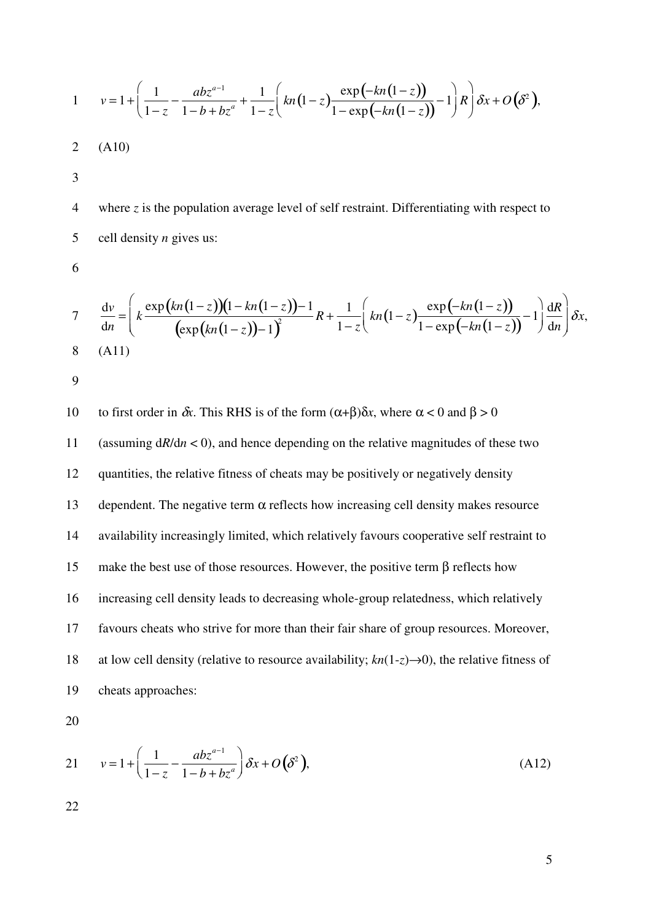1 
$$
v = 1 + \left(\frac{1}{1-z} - \frac{abz^{a-1}}{1-b+bz^{a}} + \frac{1}{1-z}\left(kn(1-z)\frac{\exp(-kn(1-z))}{1-\exp(-kn(1-z))}-1\right)R\right)\delta x + O(\delta^{2}),
$$
  
\n2 (A10)

3

4 where *z* is the population average level of self restraint. Differentiating with respect to 5 cell density *n* gives us:

6

7 
$$
\frac{dv}{dn} = \left(k \frac{\exp(kn(1-z))(1-kn(1-z))-1}{(\exp(kn(1-z))-1)^2}R + \frac{1}{1-z}\left(kn(1-z)\frac{\exp(-kn(1-z))}{1-\exp(-kn(1-z))}-1\right)\frac{dR}{dn}\right)\delta x,
$$
  
\n8 (A11)

9

10 to first order in  $\delta x$ . This RHS is of the form  $(\alpha+\beta)\delta x$ , where  $\alpha < 0$  and  $\beta > 0$ 

11 (assuming d*R*/d*n* < 0), and hence depending on the relative magnitudes of these two

12 quantities, the relative fitness of cheats may be positively or negatively density

13 dependent. The negative term  $\alpha$  reflects how increasing cell density makes resource

14 availability increasingly limited, which relatively favours cooperative self restraint to

15 make the best use of those resources. However, the positive term  $\beta$  reflects how

16 increasing cell density leads to decreasing whole-group relatedness, which relatively

17 favours cheats who strive for more than their fair share of group resources. Moreover,

18 at low cell density (relative to resource availability; *kn*(1-*z*)→0), the relative fitness of 19 cheats approaches:

20

21 
$$
v=1+\left(\frac{1}{1-z}-\frac{abz^{a-1}}{1-b+bz^a}\right)\delta x+O(\delta^2)
$$
, (A12)